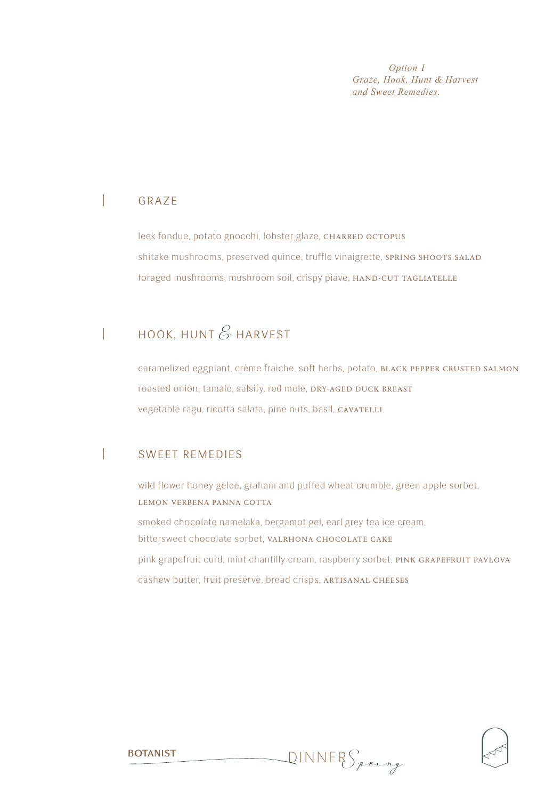*Option 1 Graze, Hook, Hunt & Harvest and Sweet Remedies.* 

### | graze

leek fondue, potato gnocchi, lobster glaze, CHARRED OCTOPUS shitake mushrooms, preserved quince, truffle vinaigrette, SPRING SHOOTS SALAD foraged mushrooms, mushroom soil, crispy piave, HAND-CUT TAGLIATELLE

# HOOK, HUNT  $\mathscr E$  HARVEST

caramelized eggplant, crème fraiche, soft herbs, potato, BLACK PEPPER CRUSTED SALMON roasted onion, tamale, salsify, red mole, DRY-AGED DUCK BREAST vegetable ragu, ricotta salata, pine nuts, basil, CAVATELLI

#### | sweet remedies

wild flower honey gelee, graham and puffed wheat crumble, green apple sorbet, LEMON VERBENA PANNA COTTA

smoked chocolate namelaka, bergamot gel, earl grey tea ice cream, bittersweet chocolate sorbet, VALRHONA CHOCOLATE CAKE pink grapefruit curd, mint chantilly cream, raspberry sorbet, PINK GRAPEFRUIT PAVLOVA cashew butter, fruit preserve, bread crisps, ARTISANAL CHEESES

dinner *Spring*